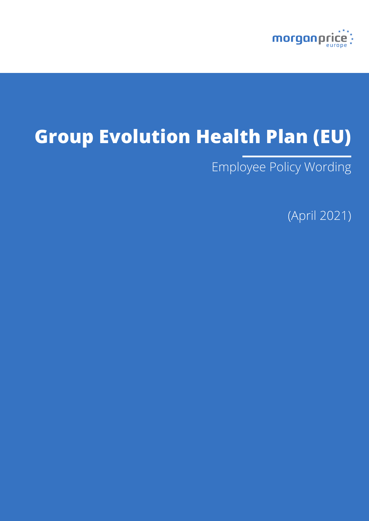

# **Group Evolution Health Plan (EU)**

Employee Policy Wording

(April 2021)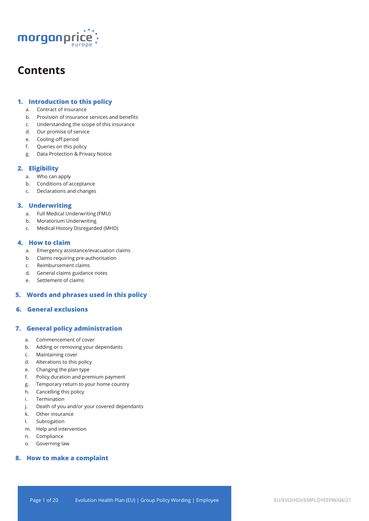

## **Contents**

## **1. Introduction to this policy**

- a. Contract of insurance
- b. Provision of insurance services and benefits
- c. Understanding the scope of this insurance
- d. Our promise of service
- e. Cooling-off period
- f. Queries on this policy
- g. Data Protection & Privacy Notice

## **2. Eligibility**

- a. Who can apply
- b. Conditions of acceptance
- c. Declarations and changes

## **3. Underwriting**

- a. Full Medical Underwriting (FMU)
- b. Moratorium Underwriting
- c. Medical History Disregarded (MHD)

## **4. How to claim**

- a. Emergency assistance/evacuation claims
- b. Claims requiring pre-authorisation
- c. Reimbursement claims
- d. General claims guidance notes
- e. Settlement of claims

## **5. Words and phrases used in this policy**

## **6. General exclusions**

## **7. General policy administration**

- a. Commencement of cover
- b. Adding or removing your dependants
- c. Maintaining cover
- d. Alterations to this policy
- e. Changing the plan type
- f. Policy duration and premium payment
- g. Temporary return to your home country
- h. Cancelling this policy
- i. Termination
- j. Death of you and/or your covered dependants
- k. Other insurance
- l. Subrogation
- m. Help and intervention
- n. Compliance
- o. Governing law

## **8. How to make a complaint**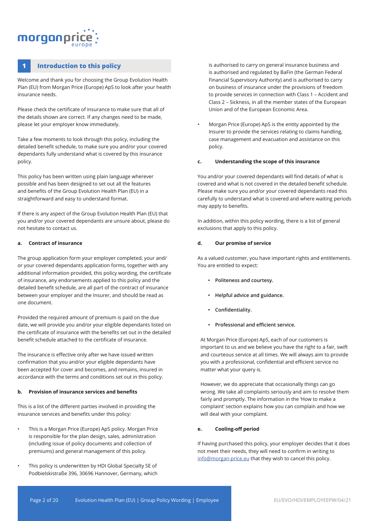## morganpri

## **1 Introduction to this policy**

Welcome and thank you for choosing the Group Evolution Health Plan (EU) from Morgan Price (Europe) ApS to look after your health insurance needs.

Please check the certificate of insurance to make sure that all of the details shown are correct. If any changes need to be made, please let your employer know immediately.

Take a few moments to look through this policy, including the detailed benefit schedule, to make sure you and/or your covered dependants fully understand what is covered by this insurance policy.

This policy has been written using plain language wherever possible and has been designed to set out all the features and benefits of the Group Evolution Health Plan (EU) in a straightforward and easy to understand format.

If there is any aspect of the Group Evolution Health Plan (EU) that you and/or your covered dependants are unsure about, please do not hesitate to contact us.

#### **a. Contract of insurance**

The group application form your employer completed, your and/ or your covered dependants application forms, together with any additional information provided, this policy wording, the certificate of insurance, any endorsements applied to this policy and the detailed benefit schedule, are all part of the contract of insurance between your employer and the Insurer, and should be read as one document.

Provided the required amount of premium is paid on the due date, we will provide you and/or your eligible dependants listed on the certificate of insurance with the benefits set out in the detailed benefit schedule attached to the certificate of insurance.

The insurance is effective only after we have issued written confirmation that you and/or your eligible dependants have been accepted for cover and becomes, and remains, insured in accordance with the terms and conditions set out in this policy.

#### **b. Provision of insurance services and benefits**

This is a list of the different parties involved in providing the insurance services and benefits under this policy:

- This is a Morgan Price (Europe) ApS policy. Morgan Price is responsible for the plan design, sales, administration (including issue of policy documents and collection of premiums) and general management of this policy.
- This policy is underwritten by HDI Global Specialty SE of Podbielskistraße 396, 30696 Hannover, Germany, which

is authorised to carry on general insurance business and is authorised and regulated by BaFin (the German Federal Financial Supervisory Authority) and is authorised to carry on business of insurance under the provisions of freedom to provide services in connection with Class 1 – Accident and Class 2 – Sickness, in all the member states of the European Union and of the European Economic Area.

• Morgan Price (Europe) ApS is the entity appointed by the Insurer to provide the services relating to claims handling, case management and evacuation and assistance on this policy.

#### **c. Understanding the scope of this insurance**

You and/or your covered dependants will find details of what is covered and what is not covered in the detailed benefit schedule. Please make sure you and/or your covered dependants read this carefully to understand what is covered and where waiting periods may apply to benefits.

In addition, within this policy wording, there is a list of general exclusions that apply to this policy.

#### **d. Our promise of service**

As a valued customer, you have important rights and entitlements. You are entitled to expect:

- **• Politeness and courtesy.**
- **• Helpful advice and guidance.**
- **• Confidentiality.**
- **• Professional and efficient service.**

At Morgan Price (Europe) ApS, each of our customers is important to us and we believe you have the right to a fair, swift and courteous service at all times. We will always aim to provide you with a professional, confidential and efficient service no matter what your query is.

However, we do appreciate that occasionally things can go wrong. We take all complaints seriously and aim to resolve them fairly and promptly. The information in the 'How to make a complaint' section explains how you can complain and how we will deal with your complaint.

### **e. Cooling-off period**

If having purchased this policy, your employer decides that it does not meet their needs, they will need to confirm in writing to info@morgan-price.eu that they wish to cancel this policy.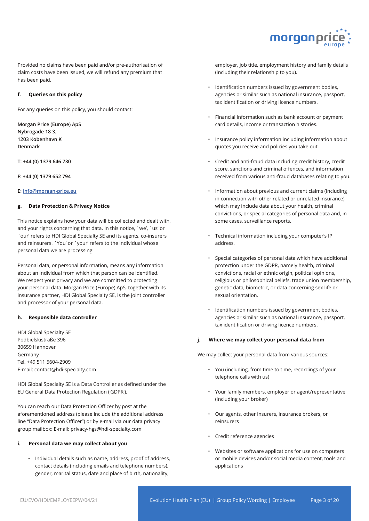

Provided no claims have been paid and/or pre-authorisation of claim costs have been issued, we will refund any premium that has been paid.

#### **f. Queries on this policy**

For any queries on this policy, you should contact:

**Morgan Price (Europe) ApS Nybrogade 18 3. 1203 Kobenhavn K Denmark**

**T: +44 (0) 1379 646 730**

**F: +44 (0) 1379 652 794**

#### **E: info@morgan-price.eu**

#### **g. Data Protection & Privacy Notice**

This notice explains how your data will be collected and dealt with, and your rights concerning that data. In this notice, `we', `us' or `our' refers to HDI Global Specialty SE and its agents, co-insurers and reinsurers. `You' or `your' refers to the individual whose personal data we are processing.

Personal data, or personal information, means any information about an individual from which that person can be identified. We respect your privacy and we are committed to protecting your personal data. Morgan Price (Europe) ApS, together with its insurance partner, HDI Global Specialty SE, is the joint controller and processor of your personal data.

#### **h. Responsible data controller**

HDI Global Specialty SE Podbielskistraße 396 30659 Hannover Germany Tel. +49 511 5604-2909 E-mail: contact@hdi-specialty.com

HDI Global Specialty SE is a Data Controller as defined under the EU General Data Protection Regulation ('GDPR').

You can reach our Data Protection Officer by post at the aforementioned address (please include the additional address line "Data Protection Officer") or by e-mail via our data privacy group mailbox: E-mail: privacy-hgs@hdi-specialty.com

#### **i. Personal data we may collect about you**

• Individual details such as name, address, proof of address, contact details (including emails and telephone numbers), gender, marital status, date and place of birth, nationality,

employer, job title, employment history and family details (including their relationship to you).

- Identification numbers issued by government bodies, agencies or similar such as national insurance, passport, tax identification or driving licence numbers.
- Financial information such as bank account or payment card details, income or transaction histories.
- Insurance policy information including information about quotes you receive and policies you take out.
- Credit and anti-fraud data including credit history, credit score, sanctions and criminal offences, and information received from various anti-fraud databases relating to you.
- Information about previous and current claims (including in connection with other related or unrelated insurance) which may include data about your health, criminal convictions, or special categories of personal data and, in some cases, surveillance reports.
- Technical information including your computer's IP address.
- Special categories of personal data which have additional protection under the GDPR, namely health, criminal convictions, racial or ethnic origin, political opinions, religious or philosophical beliefs, trade union membership, genetic data, biometric, or data concerning sex life or sexual orientation.
- Identification numbers issued by government bodies, agencies or similar such as national insurance, passport, tax identification or driving licence numbers.

#### **j. Where we may collect your personal data from**

We may collect your personal data from various sources:

- You (including, from time to time, recordings of your telephone calls with us)
- Your family members, employer or agent/representative (including your broker)
- Our agents, other insurers, insurance brokers, or reinsurers
- Credit reference agencies
- Websites or software applications for use on computers or mobile devices and/or social media content, tools and applications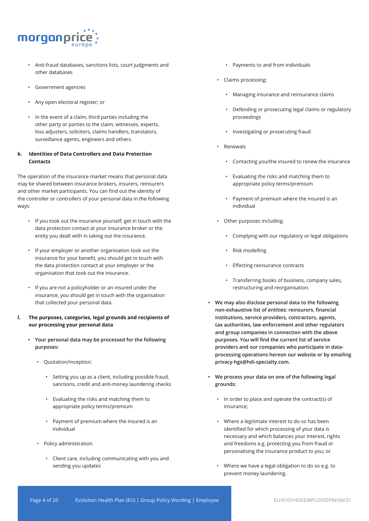

- Anti-fraud databases, sanctions lists, court judgments and other databases
- Government agencies
- Any open electoral register; or
- In the event of a claim, third parties including the other party or parties to the claim, witnesses, experts, loss adjusters, solicitors, claims handlers, translators, surveillance agents, engineers and others.

## **k. Identities of Data Controllers and Data Protection Contacts**

The operation of the insurance market means that personal data may be shared between insurance brokers, insurers, reinsurers and other market participants. You can find out the identity of the controller or controllers of your personal data in the following ways:

- If you took out the insurance yourself, get in touch with the data protection contact at your insurance broker or the entity you dealt with in taking out the insurance.
- If your employer or another organisation took out the insurance for your benefit, you should get in touch with the data protection contact at your employer or the organisation that took out the insurance.
- If you are not a policyholder or an insured under the insurance, you should get in touch with the organisation that collected your personal data.
- **l. The purposes, categories, legal grounds and recipients of our processing your personal data**
	- **• Your personal data may be processed for the following purposes:** 
		- Quotation/inception:
			- Setting you up as a client, including possible fraud, sanctions, credit and anti-money laundering checks
			- Evaluating the risks and matching them to appropriate policy terms/premium
			- Payment of premium where the insured is an individual
		- Policy administration
			- Client care, including communicating with you and sending you updates
- Payments to and from individuals
- Claims processing:
	- Managing insurance and reinsurance claims
	- Defending or prosecuting legal claims or regulatory proceedings
	- Investigating or prosecuting fraud
- Renewals
	- Contacting you/the insured to renew the insurance
	- Evaluating the risks and matching them to appropriate policy terms/premium
	- Payment of premium where the insured is an individual
- Other purposes including:
	- Complying with our regulatory or legal obligations
	- Risk modelling
	- Effecting reinsurance contracts
	- Transferring books of business, company sales, restructuring and reorganisation.
- **• We may also disclose personal data to the following non-exhaustive list of entities: reinsurers, financial institutions, service providers, contractors, agents, tax authorities, law enforcement and other regulators and group companies in connection with the above purposes. You will find the current list of service providers and our companies who participate in dataprocessing operations hereon our website or by emailing privacy-hgs@hdi-specialty.com.**
- **• We process your data on one of the following legal grounds:**
	- In order to place and operate the contract(s) of insurance;
	- Where a legitimate interest to do so has been identified for which processing of your data is necessary and which balances your interest, rights and freedoms e.g. protecting you from fraud or personalising the insurance product to you; or
	- Where we have a legal obligation to do so e.g. to prevent money laundering.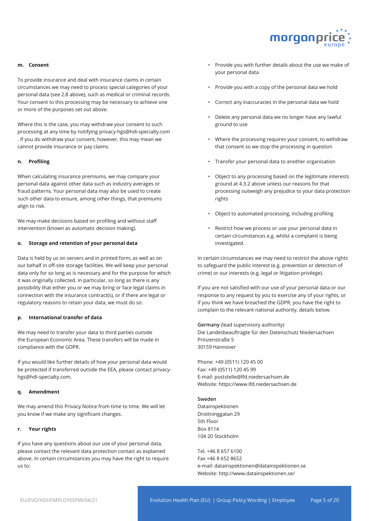

#### **m. Consent**

To provide insurance and deal with insurance claims in certain circumstances we may need to process special categories of your personal data (see 2.8 above), such as medical or criminal records. Your consent to this processing may be necessary to achieve one or more of the purposes set out above.

Where this is the case, you may withdraw your consent to such processing at any time by notifying privacy-hgs@hdi-specialty.com . If you do withdraw your consent, however, this may mean we cannot provide insurance or pay claims.

#### **n. Profiling**

When calculating insurance premiums, we may compare your personal data against other data such as industry averages or fraud patterns. Your personal data may also be used to create such other data to ensure, among other things, that premiums align to risk.

We may make decisions based on profiling and without staff intervention (known as automatic decision making).

#### **o. Storage and retention of your personal data**

Data is held by us on servers and in printed form, as well as on our behalf in off-site storage facilities. We will keep your personal data only for so long as is necessary and for the purpose for which it was originally collected. In particular, so long as there is any possibility that either you or we may bring or face legal claims in connection with the insurance contract(s), or if there are legal or regulatory reasons to retain your data, we must do so.

#### **p. International transfer of data**

We may need to transfer your data to third parties outside the European Economic Area. These transfers will be made in compliance with the GDPR.

If you would like further details of how your personal data would be protected if transferred outside the EEA, please contact privacyhgs@hdi-specialty.com.

#### **q. Amendment**

We may amend this Privacy Notice from time to time. We will let you know if we make any significant changes.

#### **r. Your rights**

If you have any questions about our use of your personal data, please contact the relevant data protection contact as explained above. In certain circumstances you may have the right to require us to:

- Provide you with further details about the use we make of your personal data
- Provide you with a copy of the personal data we hold
- Correct any inaccuracies in the personal data we hold
- Delete any personal data we no longer have any lawful ground to use
- Where the processing requires your consent, to withdraw that consent so we stop the processing in question
- Transfer your personal data to another organisation
- Object to any processing based on the legitimate interests ground at 4.3.2 above unless our reasons for that processing outweigh any prejudice to your data protection rights
- Object to automated processing, including profiling
- Restrict how we process or use your personal data in certain circumstances e.g. whilst a complaint is being investigated.

In certain circumstances we may need to restrict the above rights to safeguard the public interest (e.g. prevention or detection of crime) or our interests (e.g. legal or litigation privilege).

If you are not satisfied with our use of your personal data or our response to any request by you to exercise any of your rights, or if you think we have breached the GDPR, you have the right to complain to the relevant national authority, details below.

**Germany** (lead supervisory authority) Die Landesbeauftragte für den Datenschutz Niedersachsen Prinzenstraße 5 30159 Hannover

Phone: +49 (0511) 120 45 00 Fax: +49 (0511) 120 45 99 E-mail: poststelle@lfd.niedersachsen.de Website: https://www.lfd.niedersachsen.de

#### **Sweden**

Datainspektionen Drottninggatan 29 5th Floor Box 8114 104 20 Stockholm

Tel. +46 8 657 6100 Fax +46 8 652 8652 e-mail: datainspektionen@datainspektionen.se Website: http://www.datainspektionen.se/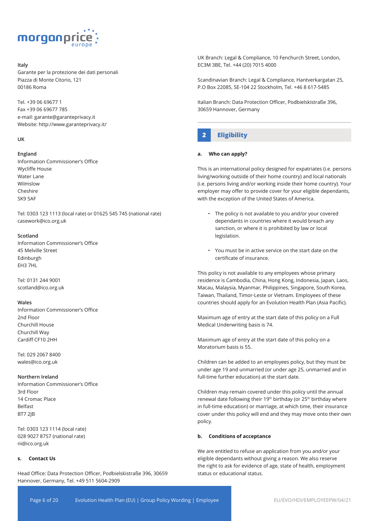

#### **Italy**

Garante per la protezione dei dati personali Piazza di Monte Citorio, 121 00186 Roma

Tel. +39 06 69677 1 Fax +39 06 69677 785 e-mail: garante@garanteprivacy.it Website: http://www.garanteprivacy.it/

#### **UK**

#### **England**

Information Commissioner's Office Wycliffe House Water Lane Wilmslow Cheshire SK9 5AF

Tel: 0303 123 1113 (local rate) or 01625 545 745 (national rate) casework@ico.org.uk

#### **Scotland**

Information Commissioner's Office 45 Melville Street Edinburgh EH3 7HL

Tel: 0131 244 9001 scotland@ico.org.uk

#### **Wales**

Information Commissioner's Office 2nd Floor Churchill House Churchill Way Cardiff CF10 2HH

Tel: 029 2067 8400 wales@ico.org.uk

#### **Northern Ireland**

Information Commissioner's Office 3rd Floor 14 Cromac Place Belfast BT7 2JB

Tel: 0303 123 1114 (local rate) 028 9027 8757 (national rate) ni@ico.org.uk

#### **s. Contact Us**

Head Office: Data Protection Officer, Podbielskistraße 396, 30659 Hannover, Germany, Tel. +49 511 5604-2909

UK Branch: Legal & Compliance, 10 Fenchurch Street, London, EC3M 3BE, Tel. +44 (20) 7015 4000

Scandinavian Branch: Legal & Compliance, Hantverkargatan 25, P.O Box 22085, SE-104 22 Stockholm, Tel. +46 8 617-5485

Italian Branch: Data Protection Officer, Podbielskistraße 396, 30659 Hannover, Germany

## **2 Eligibility**

#### **a. Who can apply?**

This is an international policy designed for expatriates (i.e. persons living/working outside of their home country) and local nationals (i.e. persons living and/or working inside their home country). Your employer may offer to provide cover for your eligible dependants, with the exception of the United States of America.

- The policy is not available to you and/or your covered dependants in countries where it would breach any sanction, or where it is prohibited by law or local legislation.
- You must be in active service on the start date on the certificate of insurance.

This policy is not available to any employees whose primary residence is Cambodia, China, Hong Kong, Indonesia, Japan, Laos, Macau, Malaysia, Myanmar, Philippines, Singapore, South Korea, Taiwan, Thailand, Timor-Leste or Vietnam. Employees of these countries should apply for an Evolution Health Plan (Asia Pacific).

Maximum age of entry at the start date of this policy on a Full Medical Underwriting basis is 74.

Maximum age of entry at the start date of this policy on a Moratorium basis is 55.

Children can be added to an employees policy, but they must be under age 19 and unmarried (or under age 25, unmarried and in full-time further education) at the start date.

Children may remain covered under this policy until the annual renewal date following their 19<sup>th</sup> birthday (or 25<sup>th</sup> birthday where in full-time education) or marriage, at which time, their insurance cover under this policy will end and they may move onto their own policy.

#### **b. Conditions of acceptance**

We are entitled to refuse an application from you and/or your eligible dependants without giving a reason. We also reserve the right to ask for evidence of age, state of health, employment status or educational status.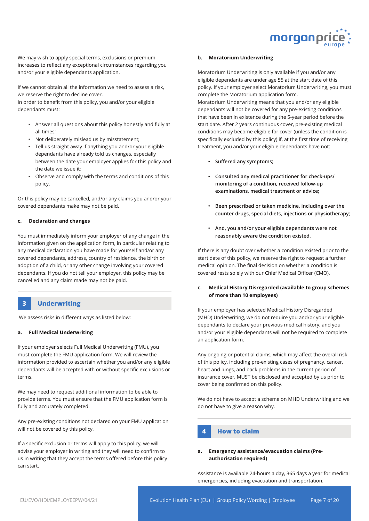

We may wish to apply special terms, exclusions or premium increases to reflect any exceptional circumstances regarding you and/or your eligible dependants application.

If we cannot obtain all the information we need to assess a risk, we reserve the right to decline cover.

In order to benefit from this policy, you and/or your eligible dependants must:

- Answer all questions about this policy honestly and fully at all times;
- Not deliberately mislead us by misstatement;
- Tell us straight away if anything you and/or your eligible dependants have already told us changes, especially between the date your employer applies for this policy and the date we issue it;
- Observe and comply with the terms and conditions of this policy.

Or this policy may be cancelled, and/or any claims you and/or your covered dependants make may not be paid.

#### **c. Declaration and changes**

You must immediately inform your employer of any change in the information given on the application form, in particular relating to any medical declaration you have made for yourself and/or any covered dependants, address, country of residence, the birth or adoption of a child, or any other change involving your covered dependants. If you do not tell your employer, this policy may be cancelled and any claim made may not be paid.

## **3 Underwriting**

We assess risks in different ways as listed below:

#### **a. Full Medical Underwriting**

If your employer selects Full Medical Underwriting (FMU), you must complete the FMU application form. We will review the information provided to ascertain whether you and/or any eligible dependants will be accepted with or without specific exclusions or terms.

We may need to request additional information to be able to provide terms. You must ensure that the FMU application form is fully and accurately completed.

Any pre-existing conditions not declared on your FMU application will not be covered by this policy.

If a specific exclusion or terms will apply to this policy, we will advise your employer in writing and they will need to confirm to us in writing that they accept the terms offered before this policy can start.

#### **b. Moratorium Underwriting**

Moratorium Underwriting is only available if you and/or any eligible dependants are under age 55 at the start date of this policy. If your employer select Moratorium Underwriting, you must complete the Moratorium application form.

Moratorium Underwriting means that you and/or any eligible dependants will not be covered for any pre-existing conditions that have been in existence during the 5-year period before the start date. After 2 years continuous cover, pre-existing medical conditions may become eligible for cover (unless the condition is specifically excluded by this policy) if, at the first time of receiving treatment, you and/or your eligible dependants have not:

- **• Suffered any symptoms;**
- **• Consulted any medical practitioner for check-ups/ monitoring of a condition, received follow-up examinations, medical treatment or advice;**
- **• Been prescribed or taken medicine, including over the counter drugs, special diets, injections or physiotherapy;**
- **• And, you and/or your eligible dependants were not reasonably aware the condition existed.**

If there is any doubt over whether a condition existed prior to the start date of this policy, we reserve the right to request a further medical opinion. The final decision on whether a condition is covered rests solely with our Chief Medical Officer (CMO).

#### **c. Medical History Disregarded (available to group schemes of more than 10 employees)**

If your employer has selected Medical History Disregarded (MHD) Underwriting, we do not require you and/or your eligible dependants to declare your previous medical history, and you and/or your eligible dependants will not be required to complete an application form.

Any ongoing or potential claims, which may affect the overall risk of this policy, including pre-existing cases of pregnancy, cancer, heart and lungs, and back problems in the current period of insurance cover, MUST be disclosed and accepted by us prior to cover being confirmed on this policy.

We do not have to accept a scheme on MHD Underwriting and we do not have to give a reason why.

## **4 How to claim**

#### **a. Emergency assistance/evacuation claims (Preauthorisation required)**

Assistance is available 24-hours a day, 365 days a year for medical emergencies, including evacuation and transportation.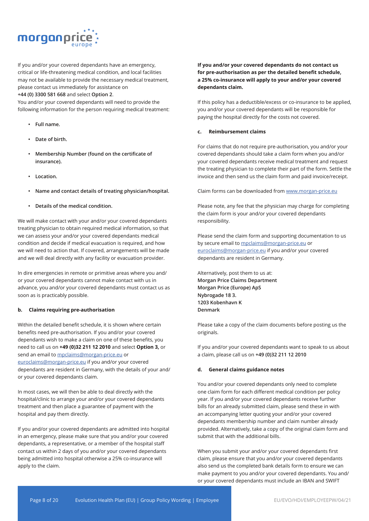

If you and/or your covered dependants have an emergency, critical or life-threatening medical condition, and local facilities may not be available to provide the necessary medical treatment, please contact us immediately for assistance on

### **+44 (0) 3300 581 668** and select **Option 2**.

You and/or your covered dependants will need to provide the following information for the person requiring medical treatment:

- **• Full name.**
- **• Date of birth.**
- **• Membership Number (found on the certificate of insurance).**
- **• Location.**
- **• Name and contact details of treating physician/hospital.**
- **• Details of the medical condition.**

We will make contact with your and/or your covered dependants treating physician to obtain required medical information, so that we can assess your and/or your covered dependants medical condition and decide if medical evacuation is required, and how we will need to action that. If covered, arrangements will be made and we will deal directly with any facility or evacuation provider.

In dire emergencies in remote or primitive areas where you and/ or your covered dependants cannot make contact with us in advance, you and/or your covered dependants must contact us as soon as is practicably possible.

#### **b. Claims requiring pre-authorisation**

Within the detailed benefit schedule, it is shown where certain benefits need pre-authorisation. If you and/or your covered dependants wish to make a claim on one of these benefits, you need to call us on **+49 (0)32 211 12 2010** and select **Option 3,** or send an email to mpclaims@morgan-price.eu or euroclaims@morgan-price.eu if you and/or your covered dependants are resident in Germany, with the details of your and/ or your covered dependants claim.

In most cases, we will then be able to deal directly with the hospital/clinic to arrange your and/or your covered dependants treatment and then place a guarantee of payment with the hospital and pay them directly.

If you and/or your covered dependants are admitted into hospital in an emergency, please make sure that you and/or your covered dependants, a representative, or a member of the hospital staff contact us within 2 days of you and/or your covered dependants being admitted into hospital otherwise a 25% co-insurance will apply to the claim.

### **If you and/or your covered dependants do not contact us for pre-authorisation as per the detailed benefit schedule, a 25% co-insurance will apply to your and/or your covered dependants claim.**

If this policy has a deductible/excess or co-insurance to be applied, you and/or your covered dependants will be responsible for paying the hospital directly for the costs not covered.

#### **c. Reimbursement claims**

For claims that do not require pre-authorisation, you and/or your covered dependants should take a claim form when you and/or your covered dependants receive medical treatment and request the treating physician to complete their part of the form. Settle the invoice and then send us the claim form and paid invoice/receipt.

Claim forms can be downloaded from www.morgan-price.eu

Please note, any fee that the physician may charge for completing the claim form is your and/or your covered dependants responsibility.

Please send the claim form and supporting documentation to us by secure email to mpclaims@morgan-price.eu or euroclaims@morgan-price.eu if you and/or your covered dependants are resident in Germany.

Alternatively, post them to us at: **Morgan Price Claims Department Morgan Price (Europe) ApS Nybrogade 18 3. 1203 Kobenhavn K Denmark**

Please take a copy of the claim documents before posting us the originals.

If you and/or your covered dependants want to speak to us about a claim, please call us on **+49 (0)32 211 12 2010**

#### **d. General claims guidance notes**

You and/or your covered dependants only need to complete one claim form for each different medical condition per policy year. If you and/or your covered dependants receive further bills for an already submitted claim, please send these in with an accompanying letter quoting your and/or your covered dependants membership number and claim number already provided. Alternatively, take a copy of the original claim form and submit that with the additional bills.

When you submit your and/or your covered dependants first claim, please ensure that you and/or your covered dependants also send us the completed bank details form to ensure we can make payment to you and/or your covered dependants. You and/ or your covered dependants must include an IBAN and SWIFT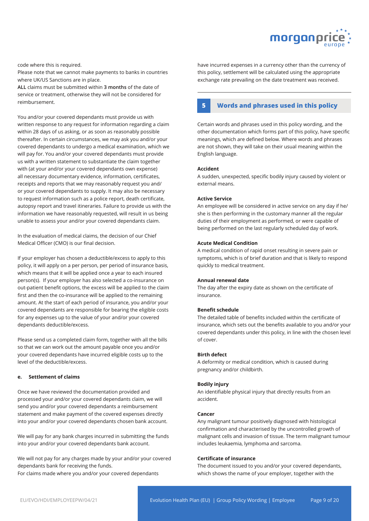

#### code where this is required.

Please note that we cannot make payments to banks in countries where UK/US Sanctions are in place.

**ALL** claims must be submitted within **3 months** of the date of service or treatment, otherwise they will not be considered for reimbursement.

You and/or your covered dependants must provide us with written response to any request for information regarding a claim within 28 days of us asking, or as soon as reasonably possible thereafter. In certain circumstances, we may ask you and/or your covered dependants to undergo a medical examination, which we will pay for. You and/or your covered dependants must provide us with a written statement to substantiate the claim together with (at your and/or your covered dependants own expense) all necessary documentary evidence, information, certificates, receipts and reports that we may reasonably request you and/ or your covered dependants to supply. It may also be necessary to request information such as a police report, death certificate, autopsy report and travel itineraries. Failure to provide us with the information we have reasonably requested, will result in us being unable to assess your and/or your covered dependants claim.

In the evaluation of medical claims, the decision of our Chief Medical Officer (CMO) is our final decision.

If your employer has chosen a deductible/excess to apply to this policy, it will apply on a per person, per period of insurance basis, which means that it will be applied once a year to each insured person(s). If your employer has also selected a co-insurance on out-patient benefit options, the excess will be applied to the claim first and then the co-insurance will be applied to the remaining amount. At the start of each period of insurance, you and/or your covered dependants are responsible for bearing the eligible costs for any expenses up to the value of your and/or your covered dependants deductible/excess.

Please send us a completed claim form, together with all the bills so that we can work out the amount payable once you and/or your covered dependants have incurred eligible costs up to the level of the deductible/excess.

#### **e. Settlement of claims**

Once we have reviewed the documentation provided and processed your and/or your covered dependants claim, we will send you and/or your covered dependants a reimbursement statement and make payment of the covered expenses directly into your and/or your covered dependants chosen bank account.

We will pay for any bank charges incurred in submitting the funds into your and/or your covered dependants bank account.

We will not pay for any charges made by your and/or your covered dependants bank for receiving the funds. For claims made where you and/or your covered dependants

have incurred expenses in a currency other than the currency of this policy, settlement will be calculated using the appropriate exchange rate prevailing on the date treatment was received.

## **5 Words and phrases used in this policy**

Certain words and phrases used in this policy wording, and the other documentation which forms part of this policy, have specific meanings, which are defined below. Where words and phrases are not shown, they will take on their usual meaning within the English language.

#### **Accident**

A sudden, unexpected, specific bodily injury caused by violent or external means.

#### **Active Service**

An employee will be considered in active service on any day if he/ she is then performing in the customary manner all the regular duties of their employment as performed, or were capable of being performed on the last regularly scheduled day of work.

#### **Acute Medical Condition**

A medical condition of rapid onset resulting in severe pain or symptoms, which is of brief duration and that is likely to respond quickly to medical treatment.

#### **Annual renewal date**

The day after the expiry date as shown on the certificate of insurance.

#### **Benefit schedule**

The detailed table of benefits included within the certificate of insurance, which sets out the benefits available to you and/or your covered dependants under this policy, in line with the chosen level of cover.

#### **Birth defect**

A deformity or medical condition, which is caused during pregnancy and/or childbirth.

#### **Bodily injury**

An identifiable physical injury that directly results from an accident.

#### **Cancer**

Any malignant tumour positively diagnosed with histological confirmation and characterised by the uncontrolled growth of malignant cells and invasion of tissue. The term malignant tumour includes leukaemia, lymphoma and sarcoma.

#### **Certificate of insurance**

The document issued to you and/or your covered dependants, which shows the name of your employer, together with the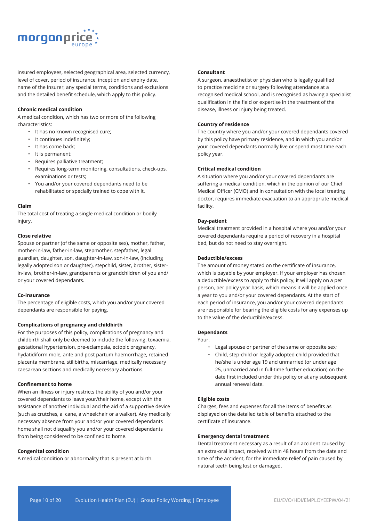

insured employees, selected geographical area, selected currency, level of cover, period of insurance, inception and expiry date, name of the Insurer, any special terms, conditions and exclusions and the detailed benefit schedule, which apply to this policy.

#### **Chronic medical condition**

A medical condition, which has two or more of the following characteristics:

- It has no known recognised cure;
- It continues indefinitely;
- It has come back;
- It is permanent;
- Requires palliative treatment;
- Requires long-term monitoring, consultations, check-ups, examinations or tests;
- You and/or your covered dependants need to be rehabilitated or specially trained to cope with it.

#### **Claim**

The total cost of treating a single medical condition or bodily injury.

#### **Close relative**

Spouse or partner (of the same or opposite sex), mother, father, mother-in-law, father-in-law, stepmother, stepfather, legal guardian, daughter, son, daughter-in-law, son-in-law, (including legally adopted son or daughter), stepchild, sister, brother, sisterin-law, brother-in-law, grandparents or grandchildren of you and/ or your covered dependants.

#### **Co-insurance**

The percentage of eligible costs, which you and/or your covered dependants are responsible for paying.

#### **Complications of pregnancy and childbirth**

For the purposes of this policy, complications of pregnancy and childbirth shall only be deemed to include the following: toxaemia, gestational hypertension, pre-eclampsia, ectopic pregnancy, hydatidiform mole, ante and post partum haemorrhage, retained placenta membrane, stillbirths, miscarriage, medically necessary caesarean sections and medically necessary abortions.

#### **Confinement to home**

When an illness or injury restricts the ability of you and/or your covered dependants to leave your/their home, except with the assistance of another individual and the aid of a supportive device (such as crutches, a cane, a wheelchair or a walker). Any medically necessary absence from your and/or your covered dependants home shall not disqualify you and/or your covered dependants from being considered to be confined to home.

#### **Congenital condition**

A medical condition or abnormality that is present at birth.

#### **Consultant**

A surgeon, anaesthetist or physician who is legally qualified to practice medicine or surgery following attendance at a recognised medical school, and is recognised as having a specialist qualification in the field or expertise in the treatment of the disease, illness or injury being treated.

#### **Country of residence**

The country where you and/or your covered dependants covered by this policy have primary residence, and in which you and/or your covered dependants normally live or spend most time each policy year.

#### **Critical medical condition**

A situation where you and/or your covered dependants are suffering a medical condition, which in the opinion of our Chief Medical Officer (CMO) and in consultation with the local treating doctor, requires immediate evacuation to an appropriate medical facility.

#### **Day-patient**

Medical treatment provided in a hospital where you and/or your covered dependants require a period of recovery in a hospital bed, but do not need to stay overnight.

#### **Deductible/excess**

The amount of money stated on the certificate of insurance, which is payable by your employer. If your employer has chosen a deductible/excess to apply to this policy, it will apply on a per person, per policy year basis, which means it will be applied once a year to you and/or your covered dependants. At the start of each period of insurance, you and/or your covered dependants are responsible for bearing the eligible costs for any expenses up to the value of the deductible/excess.

#### **Dependants**

Your:

- Legal spouse or partner of the same or opposite sex;
- Child, step-child or legally adopted child provided that he/she is under age 19 and unmarried (or under age 25, unmarried and in full-time further education) on the date first included under this policy or at any subsequent annual renewal date.

#### **Eligible costs**

Charges, fees and expenses for all the items of benefits as displayed on the detailed table of benefits attached to the certificate of insurance.

#### **Emergency dental treatment**

Dental treatment necessary as a result of an accident caused by an extra-oral impact, received within 48 hours from the date and time of the accident, for the immediate relief of pain caused by natural teeth being lost or damaged.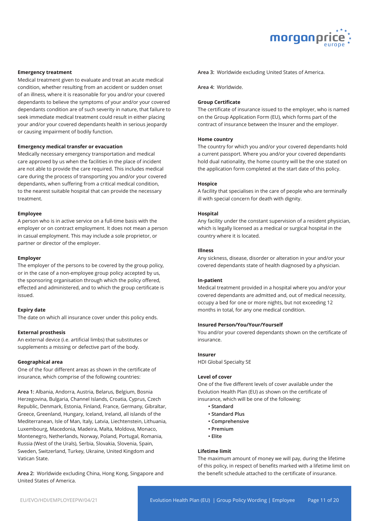

#### **Emergency treatment**

Medical treatment given to evaluate and treat an acute medical condition, whether resulting from an accident or sudden onset of an illness, where it is reasonable for you and/or your covered dependants to believe the symptoms of your and/or your covered dependants condition are of such severity in nature, that failure to seek immediate medical treatment could result in either placing your and/or your covered dependants health in serious jeopardy or causing impairment of bodily function.

#### **Emergency medical transfer or evacuation**

Medically necessary emergency transportation and medical care approved by us when the facilities in the place of incident are not able to provide the care required. This includes medical care during the process of transporting you and/or your covered dependants, when suffering from a critical medical condition, to the nearest suitable hospital that can provide the necessary treatment.

#### **Employee**

A person who is in active service on a full-time basis with the employer or on contract employment. It does not mean a person in casual employment. This may include a sole proprietor, or partner or director of the employer.

#### **Employer**

The employer of the persons to be covered by the group policy, or in the case of a non-employee group policy accepted by us, the sponsoring organisation through which the policy offered, effected and administered, and to which the group certificate is issued.

#### **Expiry date**

The date on which all insurance cover under this policy ends.

#### **External prosthesis**

An external device (i.e. artificial limbs) that substitutes or supplements a missing or defective part of the body.

#### **Geographical area**

One of the four different areas as shown in the certificate of insurance, which comprise of the following countries:

**Area 1:** Albania, Andorra, Austria, Belarus, Belgium, Bosnia Herzegovina, Bulgaria, Channel Islands, Croatia, Cyprus, Czech Republic, Denmark, Estonia, Finland, France, Germany, Gibraltar, Greece, Greenland, Hungary, Iceland, Ireland, all islands of the Mediterranean, Isle of Man, Italy, Latvia, Liechtenstein, Lithuania, Luxembourg, Macedonia, Madeira, Malta, Moldova, Monaco, Montenegro, Netherlands, Norway, Poland, Portugal, Romania, Russia (West of the Urals), Serbia, Slovakia, Slovenia, Spain, Sweden, Switzerland, Turkey, Ukraine, United Kingdom and Vatican State.

**Area 2:** Worldwide excluding China, Hong Kong, Singapore and United States of America.

**Area 3:** Worldwide excluding United States of America.

**Area 4:** Worldwide.

#### **Group Certificate**

The certificate of insurance issued to the employer, who is named on the Group Application Form (EU), which forms part of the contract of insurance between the Insurer and the employer.

#### **Home country**

The country for which you and/or your covered dependants hold a current passport. Where you and/or your covered dependants hold dual nationality, the home country will be the one stated on the application form completed at the start date of this policy.

#### **Hospice**

A facility that specialises in the care of people who are terminally ill with special concern for death with dignity.

#### **Hospital**

Any facility under the constant supervision of a resident physician, which is legally licensed as a medical or surgical hospital in the country where it is located.

#### **Illness**

Any sickness, disease, disorder or alteration in your and/or your covered dependants state of health diagnosed by a physician.

#### **In-patient**

Medical treatment provided in a hospital where you and/or your covered dependants are admitted and, out of medical necessity, occupy a bed for one or more nights, but not exceeding 12 months in total, for any one medical condition.

#### **Insured Person/You/Your/Yourself**

You and/or your covered dependants shown on the certificate of insurance.

#### **Insurer**

HDI Global Specialty SE

#### **Level of cover**

One of the five different levels of cover available under the Evolution Health Plan (EU) as shown on the certificate of insurance, which will be one of the following:

- **Standard**
- **Standard Plus**
- **Comprehensive**
- **Premium**
- **Elite**

#### **Lifetime limit**

The maximum amount of money we will pay, during the lifetime of this policy, in respect of benefits marked with a lifetime limit on the benefit schedule attached to the certificate of insurance.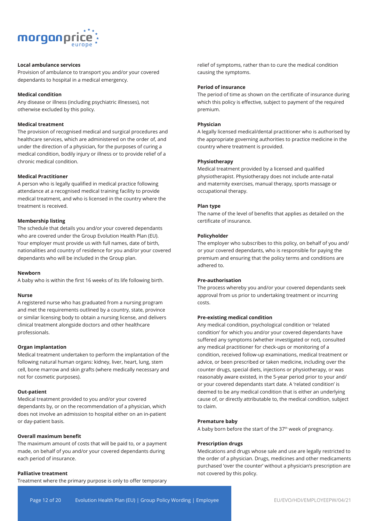

### **Local ambulance services**

Provision of ambulance to transport you and/or your covered dependants to hospital in a medical emergency.

#### **Medical condition**

Any disease or illness (including psychiatric illnesses), not otherwise excluded by this policy.

#### **Medical treatment**

The provision of recognised medical and surgical procedures and healthcare services, which are administered on the order of, and under the direction of a physician, for the purposes of curing a medical condition, bodily injury or illness or to provide relief of a chronic medical condition.

#### **Medical Practitioner**

A person who is legally qualified in medical practice following attendance at a recognised medical training facility to provide medical treatment, and who is licensed in the country where the treatment is received.

#### **Membership listing**

The schedule that details you and/or your covered dependants who are covered under the Group Evolution Health Plan (EU). Your employer must provide us with full names, date of birth, nationalities and country of residence for you and/or your covered dependants who will be included in the Group plan.

#### **Newborn**

A baby who is within the first 16 weeks of its life following birth.

#### **Nurse**

A registered nurse who has graduated from a nursing program and met the requirements outlined by a country, state, province or similar licensing body to obtain a nursing license, and delivers clinical treatment alongside doctors and other healthcare professionals.

#### **Organ implantation**

Medical treatment undertaken to perform the implantation of the following natural human organs: kidney, liver, heart, lung, stem cell, bone marrow and skin grafts (where medically necessary and not for cosmetic purposes).

#### **Out-patient**

Medical treatment provided to you and/or your covered dependants by, or on the recommendation of a physician, which does not involve an admission to hospital either on an in-patient or day-patient basis.

#### **Overall maximum benefit**

The maximum amount of costs that will be paid to, or a payment made, on behalf of you and/or your covered dependants during each period of insurance.

#### **Palliative treatment**

Treatment where the primary purpose is only to offer temporary

relief of symptoms, rather than to cure the medical condition causing the symptoms.

#### **Period of insurance**

The period of time as shown on the certificate of insurance during which this policy is effective, subject to payment of the required premium.

#### **Physician**

A legally licensed medical/dental practitioner who is authorised by the appropriate governing authorities to practice medicine in the country where treatment is provided.

#### **Physiotherapy**

Medical treatment provided by a licensed and qualified physiotherapist. Physiotherapy does not include ante-natal and maternity exercises, manual therapy, sports massage or occupational therapy.

#### **Plan type**

The name of the level of benefits that applies as detailed on the certificate of insurance.

#### **Policyholder**

The employer who subscribes to this policy, on behalf of you and/ or your covered dependants, who is responsible for paying the premium and ensuring that the policy terms and conditions are adhered to.

#### **Pre-authorisation**

The process whereby you and/or your covered dependants seek approval from us prior to undertaking treatment or incurring costs.

#### **Pre-existing medical condition**

Any medical condition, psychological condition or 'related condition' for which you and/or your covered dependants have suffered any symptoms (whether investigated or not), consulted any medical practitioner for check-ups or monitoring of a condition, received follow-up examinations, medical treatment or advice, or been prescribed or taken medicine, including over the counter drugs, special diets, injections or physiotherapy, or was reasonably aware existed, in the 5-year period prior to your and/ or your covered dependants start date. A 'related condition' is deemed to be any medical condition that is either an underlying cause of, or directly attributable to, the medical condition, subject to claim.

#### **Premature baby**

A baby born before the start of the 37<sup>th</sup> week of pregnancy.

#### **Prescription drugs**

Medications and drugs whose sale and use are legally restricted to the order of a physician. Drugs, medicines and other medicaments purchased 'over the counter' without a physician's prescription are not covered by this policy.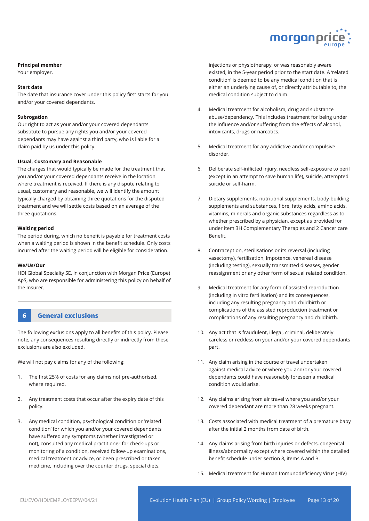

#### **Principal member**

Your employer.

#### **Start date**

The date that insurance cover under this policy first starts for you and/or your covered dependants.

#### **Subrogation**

Our right to act as your and/or your covered dependants substitute to pursue any rights you and/or your covered dependants may have against a third party, who is liable for a claim paid by us under this policy.

#### **Usual, Customary and Reasonable**

The charges that would typically be made for the treatment that you and/or your covered dependants receive in the location where treatment is received. If there is any dispute relating to usual, customary and reasonable, we will identify the amount typically charged by obtaining three quotations for the disputed treatment and we will settle costs based on an average of the three quotations.

#### **Waiting period**

The period during, which no benefit is payable for treatment costs when a waiting period is shown in the benefit schedule. Only costs incurred after the waiting period will be eligible for consideration.

#### **We/Us/Our**

HDI Global Specialty SE, in conjunction with Morgan Price (Europe) ApS, who are responsible for administering this policy on behalf of the Insurer.

## **6 General exclusions**

The following exclusions apply to all benefits of this policy. Please note, any consequences resulting directly or indirectly from these exclusions are also excluded.

We will not pay claims for any of the following:

- 1. The first 25% of costs for any claims not pre-authorised, where required.
- 2. Any treatment costs that occur after the expiry date of this policy.
- 3. Any medical condition, psychological condition or 'related condition' for which you and/or your covered dependants have suffered any symptoms (whether investigated or not), consulted any medical practitioner for check-ups or monitoring of a condition, received follow-up examinations, medical treatment or advice, or been prescribed or taken medicine, including over the counter drugs, special diets,

injections or physiotherapy, or was reasonably aware existed, in the 5-year period prior to the start date. A 'related condition' is deemed to be any medical condition that is either an underlying cause of, or directly attributable to, the medical condition subject to claim.

- 4. Medical treatment for alcoholism, drug and substance abuse/dependency. This includes treatment for being under the influence and/or suffering from the effects of alcohol, intoxicants, drugs or narcotics.
- 5. Medical treatment for any addictive and/or compulsive disorder.
- 6. Deliberate self-inflicted injury, needless self-exposure to peril (except in an attempt to save human life), suicide, attempted suicide or self-harm.
- 7. Dietary supplements, nutritional supplements, body-building supplements and substances, fibre, fatty acids, amino acids, vitamins, minerals and organic substances regardless as to whether prescribed by a physician, except as provided for under item 3H Complementary Therapies and 2 Cancer care Benefit.
- 8. Contraception, sterilisations or its reversal (including vasectomy), fertilisation, impotence, venereal disease (including testing), sexually transmitted diseases, gender reassignment or any other form of sexual related condition.
- 9. Medical treatment for any form of assisted reproduction (including in vitro fertilisation) and its consequences, including any resulting pregnancy and childbirth or complications of the assisted reproduction treatment or complications of any resulting pregnancy and childbirth.
- 10. Any act that is fraudulent, illegal, criminal, deliberately careless or reckless on your and/or your covered dependants part.
- 11. Any claim arising in the course of travel undertaken against medical advice or where you and/or your covered dependants could have reasonably foreseen a medical condition would arise.
- 12. Any claims arising from air travel where you and/or your covered dependant are more than 28 weeks pregnant.
- 13. Costs associated with medical treatment of a premature baby after the initial 2 months from date of birth.
- 14. Any claims arising from birth injuries or defects, congenital illness/abnormality except where covered within the detailed benefit schedule under section 8, items A and B.
- 15. Medical treatment for Human Immunodeficiency Virus (HIV)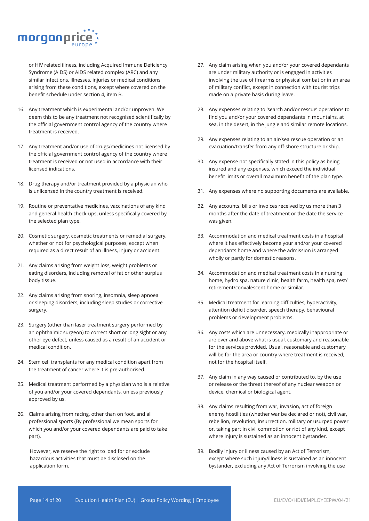

or HIV related illness, including Acquired Immune Deficiency Syndrome (AIDS) or AIDS related complex (ARC) and any similar infections, illnesses, injuries or medical conditions arising from these conditions, except where covered on the benefit schedule under section 4, item B.

- 16. Any treatment which is experimental and/or unproven. We deem this to be any treatment not recognised scientifically by the official government control agency of the country where treatment is received.
- 17. Any treatment and/or use of drugs/medicines not licensed by the official government control agency of the country where treatment is received or not used in accordance with their licensed indications.
- 18. Drug therapy and/or treatment provided by a physician who is unlicensed in the country treatment is received.
- 19. Routine or preventative medicines, vaccinations of any kind and general health check-ups, unless specifically covered by the selected plan type.
- 20. Cosmetic surgery, cosmetic treatments or remedial surgery, whether or not for psychological purposes, except when required as a direct result of an illness, injury or accident.
- 21. Any claims arising from weight loss, weight problems or eating disorders, including removal of fat or other surplus body tissue.
- 22. Any claims arising from snoring, insomnia, sleep apnoea or sleeping disorders, including sleep studies or corrective surgery.
- 23. Surgery (other than laser treatment surgery performed by an ophthalmic surgeon) to correct short or long sight or any other eye defect, unless caused as a result of an accident or medical condition.
- 24. Stem cell transplants for any medical condition apart from the treatment of cancer where it is pre-authorised.
- 25. Medical treatment performed by a physician who is a relative of you and/or your covered dependants, unless previously approved by us.
- 26. Claims arising from racing, other than on foot, and all professional sports (By professional we mean sports for which you and/or your covered dependants are paid to take part).

However, we reserve the right to load for or exclude hazardous activities that must be disclosed on the application form.

- 27. Any claim arising when you and/or your covered dependants are under military authority or is engaged in activities involving the use of firearms or physical combat or in an area of military conflict, except in connection with tourist trips made on a private basis during leave.
- 28. Any expenses relating to 'search and/or rescue' operations to find you and/or your covered dependants in mountains, at sea, in the desert, in the jungle and similar remote locations.
- 29. Any expenses relating to an air/sea rescue operation or an evacuation/transfer from any off-shore structure or ship.
- 30. Any expense not specifically stated in this policy as being insured and any expenses, which exceed the individual benefit limits or overall maximum benefit of the plan type.
- 31. Any expenses where no supporting documents are available.
- 32. Any accounts, bills or invoices received by us more than 3 months after the date of treatment or the date the service was given.
- 33. Accommodation and medical treatment costs in a hospital where it has effectively become your and/or your covered dependants home and where the admission is arranged wholly or partly for domestic reasons.
- 34. Accommodation and medical treatment costs in a nursing home, hydro spa, nature clinic, health farm, health spa, rest/ retirement/convalescent home or similar.
- 35. Medical treatment for learning difficulties, hyperactivity, attention deficit disorder, speech therapy, behavioural problems or development problems.
- 36. Any costs which are unnecessary, medically inappropriate or are over and above what is usual, customary and reasonable for the services provided. Usual, reasonable and customary will be for the area or country where treatment is received, not for the hospital itself.
- 37. Any claim in any way caused or contributed to, by the use or release or the threat thereof of any nuclear weapon or device, chemical or biological agent.
- 38. Any claims resulting from war, invasion, act of foreign enemy hostilities (whether war be declared or not), civil war, rebellion, revolution, insurrection, military or usurped power or, taking part in civil commotion or riot of any kind, except where injury is sustained as an innocent bystander.
- 39. Bodily injury or illness caused by an Act of Terrorism, except where such injury/illness is sustained as an innocent bystander, excluding any Act of Terrorism involving the use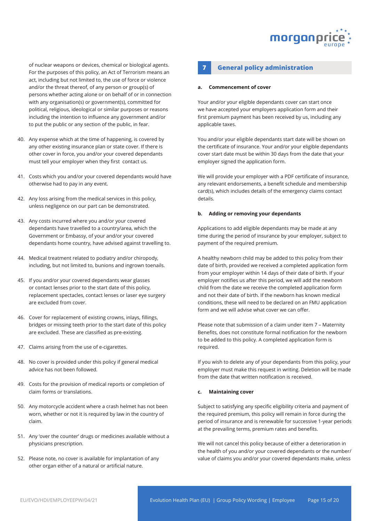

of nuclear weapons or devices, chemical or biological agents. For the purposes of this policy, an Act of Terrorism means an act, including but not limited to, the use of force or violence and/or the threat thereof, of any person or group(s) of persons whether acting alone or on behalf of or in connection with any organisation(s) or government(s), committed for political, religious, ideological or similar purposes or reasons including the intention to influence any government and/or to put the public or any section of the public, in fear.

- 40. Any expense which at the time of happening, is covered by any other existing insurance plan or state cover. If there is other cover in force, you and/or your covered dependants must tell your employer when they first contact us.
- 41. Costs which you and/or your covered dependants would have otherwise had to pay in any event.
- 42. Any loss arising from the medical services in this policy, unless negligence on our part can be demonstrated.
- 43. Any costs incurred where you and/or your covered dependants have travelled to a country/area, which the Government or Embassy, of your and/or your covered dependants home country, have advised against travelling to.
- 44. Medical treatment related to podiatry and/or chiropody, including, but not limited to, bunions and ingrown toenails.
- 45. If you and/or your covered dependants wear glasses or contact lenses prior to the start date of this policy, replacement spectacles, contact lenses or laser eye surgery are excluded from cover.
- 46. Cover for replacement of existing crowns, inlays, fillings, bridges or missing teeth prior to the start date of this policy are excluded. These are classified as pre-existing.
- 47. Claims arising from the use of e-cigarettes.
- 48. No cover is provided under this policy if general medical advice has not been followed.
- 49. Costs for the provision of medical reports or completion of claim forms or translations.
- 50. Any motorcycle accident where a crash helmet has not been worn, whether or not it is required by law in the country of claim.
- 51. Any 'over the counter' drugs or medicines available without a physicians prescription.
- 52. Please note, no cover is available for implantation of any other organ either of a natural or artificial nature.

## **7 General policy administration**

#### **a. Commencement of cover**

Your and/or your eligible dependants cover can start once we have accepted your employers application form and their first premium payment has been received by us, including any applicable taxes.

You and/or your eligible dependants start date will be shown on the certificate of insurance. Your and/or your eligible dependants cover start date must be within 30 days from the date that your employer signed the application form.

We will provide your employer with a PDF certificate of insurance, any relevant endorsements, a benefit schedule and membership card(s), which includes details of the emergency claims contact details.

#### **b. Adding or removing your dependants**

Applications to add eligible dependants may be made at any time during the period of insurance by your employer, subject to payment of the required premium.

A healthy newborn child may be added to this policy from their date of birth, provided we received a completed application form from your employer within 14 days of their date of birth. If your employer notifies us after this period, we will add the newborn child from the date we receive the completed application form and not their date of birth. If the newborn has known medical conditions, these will need to be declared on an FMU application form and we will advise what cover we can offer.

Please note that submission of a claim under item 7 – Maternity Benefits, does not constitute formal notification for the newborn to be added to this policy. A completed application form is required.

If you wish to delete any of your dependants from this policy, your employer must make this request in writing. Deletion will be made from the date that written notification is received.

#### **c. Maintaining cover**

Subject to satisfying any specific eligibility criteria and payment of the required premium, this policy will remain in force during the period of insurance and is renewable for successive 1-year periods at the prevailing terms, premium rates and benefits.

We will not cancel this policy because of either a deterioration in the health of you and/or your covered dependants or the number/ value of claims you and/or your covered dependants make, unless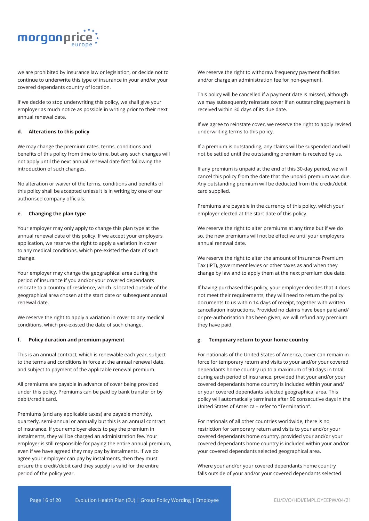

we are prohibited by insurance law or legislation, or decide not to continue to underwrite this type of insurance in your and/or your covered dependants country of location.

If we decide to stop underwriting this policy, we shall give your employer as much notice as possible in writing prior to their next annual renewal date.

#### **d. Alterations to this policy**

We may change the premium rates, terms, conditions and benefits of this policy from time to time, but any such changes will not apply until the next annual renewal date first following the introduction of such changes.

No alteration or waiver of the terms, conditions and benefits of this policy shall be accepted unless it is in writing by one of our authorised company officials.

#### **e. Changing the plan type**

Your employer may only apply to change this plan type at the annual renewal date of this policy. If we accept your employers application, we reserve the right to apply a variation in cover to any medical conditions, which pre-existed the date of such change.

Your employer may change the geographical area during the period of insurance if you and/or your covered dependants relocate to a country of residence, which is located outside of the geographical area chosen at the start date or subsequent annual renewal date.

We reserve the right to apply a variation in cover to any medical conditions, which pre-existed the date of such change.

#### **f. Policy duration and premium payment**

This is an annual contract, which is renewable each year, subject to the terms and conditions in force at the annual renewal date, and subject to payment of the applicable renewal premium.

All premiums are payable in advance of cover being provided under this policy. Premiums can be paid by bank transfer or by debit/credit card.

Premiums (and any applicable taxes) are payable monthly, quarterly, semi-annual or annually but this is an annual contract of insurance. If your employer elects to pay the premium in instalments, they will be charged an administration fee. Your employer is still responsible for paying the entire annual premium, even if we have agreed they may pay by instalments. If we do agree your employer can pay by instalments, then they must ensure the credit/debit card they supply is valid for the entire period of the policy year.

We reserve the right to withdraw frequency payment facilities and/or charge an administration fee for non-payment.

This policy will be cancelled if a payment date is missed, although we may subsequently reinstate cover if an outstanding payment is received within 30 days of its due date.

If we agree to reinstate cover, we reserve the right to apply revised underwriting terms to this policy.

If a premium is outstanding, any claims will be suspended and will not be settled until the outstanding premium is received by us.

If any premium is unpaid at the end of this 30-day period, we will cancel this policy from the date that the unpaid premium was due. Any outstanding premium will be deducted from the credit/debit card supplied.

Premiums are payable in the currency of this policy, which your employer elected at the start date of this policy.

We reserve the right to alter premiums at any time but if we do so, the new premiums will not be effective until your employers annual renewal date.

We reserve the right to alter the amount of Insurance Premium Tax (IPT), government levies or other taxes as and when they change by law and to apply them at the next premium due date.

If having purchased this policy, your employer decides that it does not meet their requirements, they will need to return the policy documents to us within 14 days of receipt, together with written cancellation instructions. Provided no claims have been paid and/ or pre-authorisation has been given, we will refund any premium they have paid.

#### **g. Temporary return to your home country**

For nationals of the United States of America, cover can remain in force for temporary return and visits to your and/or your covered dependants home country up to a maximum of 90 days in total during each period of insurance, provided that your and/or your covered dependants home country is included within your and/ or your covered dependants selected geographical area. This policy will automatically terminate after 90 consecutive days in the United States of America – refer to "Termination".

For nationals of all other countries worldwide, there is no restriction for temporary return and visits to your and/or your covered dependants home country, provided your and/or your covered dependants home country is included within your and/or your covered dependants selected geographical area.

Where your and/or your covered dependants home country falls outside of your and/or your covered dependants selected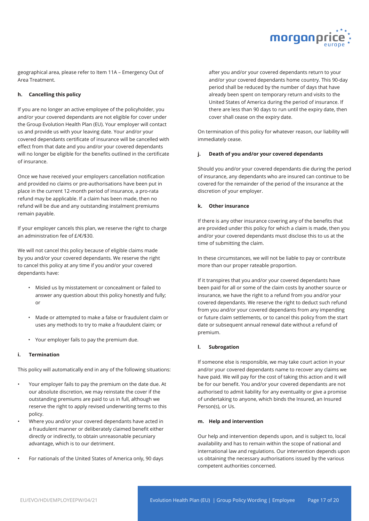![](_page_17_Picture_0.jpeg)

geographical area, please refer to Item 11A – Emergency Out of Area Treatment.

#### **h. Cancelling this policy**

If you are no longer an active employee of the policyholder, you and/or your covered dependants are not eligible for cover under the Group Evolution Health Plan (EU). Your employer will contact us and provide us with your leaving date. Your and/or your covered dependants certificate of insurance will be cancelled with effect from that date and you and/or your covered dependants will no longer be eligible for the benefits outlined in the certificate of insurance.

Once we have received your employers cancellation notification and provided no claims or pre-authorisations have been put in place in the current 12-month period of insurance, a pro-rata refund may be applicable. If a claim has been made, then no refund will be due and any outstanding instalment premiums remain payable.

If your employer cancels this plan, we reserve the right to charge an administration fee of £/€/\$30.

We will not cancel this policy because of eligible claims made by you and/or your covered dependants. We reserve the right to cancel this policy at any time if you and/or your covered dependants have:

- Misled us by misstatement or concealment or failed to answer any question about this policy honestly and fully; or
- Made or attempted to make a false or fraudulent claim or uses any methods to try to make a fraudulent claim; or
- Your employer fails to pay the premium due.

#### **i. Termination**

This policy will automatically end in any of the following situations:

- Your employer fails to pay the premium on the date due. At our absolute discretion, we may reinstate the cover if the outstanding premiums are paid to us in full, although we reserve the right to apply revised underwriting terms to this policy.
- Where you and/or your covered dependants have acted in a fraudulent manner or deliberately claimed benefit either directly or indirectly, to obtain unreasonable pecuniary advantage, which is to our detriment.
- For nationals of the United States of America only, 90 days

after you and/or your covered dependants return to your and/or your covered dependants home country. This 90-day period shall be reduced by the number of days that have already been spent on temporary return and visits to the United States of America during the period of insurance. If there are less than 90 days to run until the expiry date, then cover shall cease on the expiry date.

On termination of this policy for whatever reason, our liability will immediately cease.

#### **j. Death of you and/or your covered dependants**

Should you and/or your covered dependants die during the period of insurance, any dependants who are insured can continue to be covered for the remainder of the period of the insurance at the discretion of your employer.

#### **k. Other insurance**

If there is any other insurance covering any of the benefits that are provided under this policy for which a claim is made, then you and/or your covered dependants must disclose this to us at the time of submitting the claim.

In these circumstances, we will not be liable to pay or contribute more than our proper rateable proportion.

If it transpires that you and/or your covered dependants have been paid for all or some of the claim costs by another source or insurance, we have the right to a refund from you and/or your covered dependants. We reserve the right to deduct such refund from you and/or your covered dependants from any impending or future claim settlements, or to cancel this policy from the start date or subsequent annual renewal date without a refund of premium.

#### **l. Subrogation**

If someone else is responsible, we may take court action in your and/or your covered dependants name to recover any claims we have paid. We will pay for the cost of taking this action and it will be for our benefit. You and/or your covered dependants are not authorised to admit liability for any eventuality or give a promise of undertaking to anyone, which binds the Insured, an Insured Person(s), or Us.

#### **m. Help and intervention**

Our help and intervention depends upon, and is subject to, local availability and has to remain within the scope of national and international law and regulations. Our intervention depends upon us obtaining the necessary authorisations issued by the various competent authorities concerned.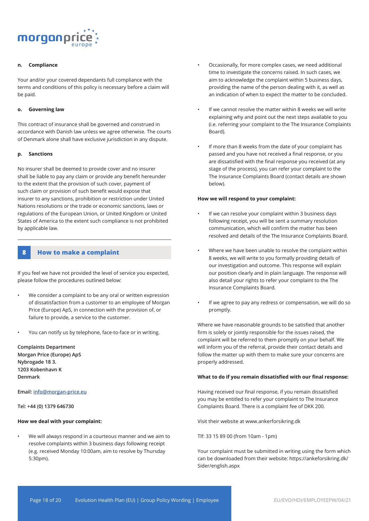![](_page_18_Picture_0.jpeg)

#### **n. Compliance**

Your and/or your covered dependants full compliance with the terms and conditions of this policy is necessary before a claim will be paid.

#### **o. Governing law**

This contract of insurance shall be governed and construed in accordance with Danish law unless we agree otherwise. The courts of Denmark alone shall have exclusive jurisdiction in any dispute.

#### **p. Sanctions**

No insurer shall be deemed to provide cover and no insurer shall be liable to pay any claim or provide any benefit hereunder to the extent that the provision of such cover, payment of such claim or provision of such benefit would expose that insurer to any sanctions, prohibition or restriction under United Nations resolutions or the trade or economic sanctions, laws or regulations of the European Union, or United Kingdom or United States of America to the extent such compliance is not prohibited by applicable law.

#### **8 How to make a complaint**

If you feel we have not provided the level of service you expected, please follow the procedures outlined below:

- We consider a complaint to be any oral or written expression of dissatisfaction from a customer to an employee of Morgan Price (Europe) ApS, in connection with the provision of, or failure to provide, a service to the customer.
- You can notify us by telephone, face-to-face or in writing.

**Complaints Department Morgan Price (Europe) ApS Nybrogade 18 3. 1203 Kobenhavn K Denmark**

**Email: info@morgan-price.eu** 

**Tel: +44 (0) 1379 646730**

#### **How we deal with your complaint:**

• We will always respond in a courteous manner and we aim to resolve complaints within 3 business days following receipt (e.g. received Monday 10:00am, aim to resolve by Thursday 5:30pm).

- Occasionally, for more complex cases, we need additional time to investigate the concerns raised. In such cases, we aim to acknowledge the complaint within 5 business days, providing the name of the person dealing with it, as well as an indication of when to expect the matter to be concluded.
- If we cannot resolve the matter within 8 weeks we will write explaining why and point out the next steps available to you (i.e. referring your complaint to the The Insurance Complaints Board).
- If more than 8 weeks from the date of your complaint has passed and you have not received a final response, or you are dissatisfied with the final response you received (at any stage of the process), you can refer your complaint to the The Insurance Complaints Board (contact details are shown below).

#### **How we will respond to your complaint:**

- If we can resolve your complaint within 3 business days following receipt, you will be sent a summary resolution communication, which will confirm the matter has been resolved and details of the The Insurance Complaints Board.
- Where we have been unable to resolve the complaint within 8 weeks, we will write to you formally providing details of our investigation and outcome. This response will explain our position clearly and in plain language. The response will also detail your rights to refer your complaint to the The Insurance Complaints Board.
- If we agree to pay any redress or compensation, we will do so promptly.

Where we have reasonable grounds to be satisfied that another firm is solely or jointly responsible for the issues raised, the complaint will be referred to them promptly on your behalf. We will inform you of the referral, provide their contact details and follow the matter up with them to make sure your concerns are properly addressed.

#### **What to do if you remain dissatisfied with our final response:**

Having received our final response, if you remain dissatisfied you may be entitled to refer your complaint to The Insurance Complaints Board. There is a complaint fee of DKK 200.

Visit their website at www.ankerforsikring.dk

Tlf: 33 15 89 00 (from 10am - 1pm)

Your complaint must be submitted in writing using the form which can be downloaded from their website: https://ankeforsikring.dk/ Sider/english.aspx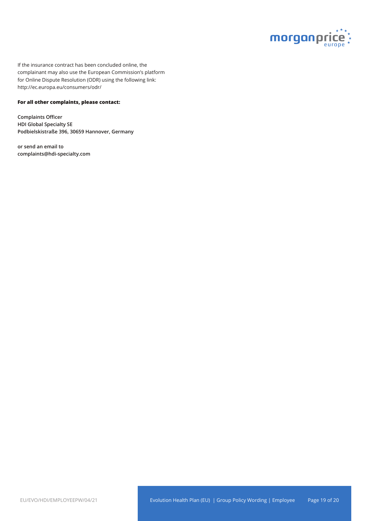![](_page_19_Picture_0.jpeg)

If the insurance contract has been concluded online, the complainant may also use the European Commission's platform for Online Dispute Resolution (ODR) using the following link: http://ec.europa.eu/consumers/odr/

#### **For all other complaints, please contact:**

**Complaints Officer HDI Global Specialty SE Podbielskistraße 396, 30659 Hannover, Germany**

**or send an email to complaints@hdi-specialty.com**